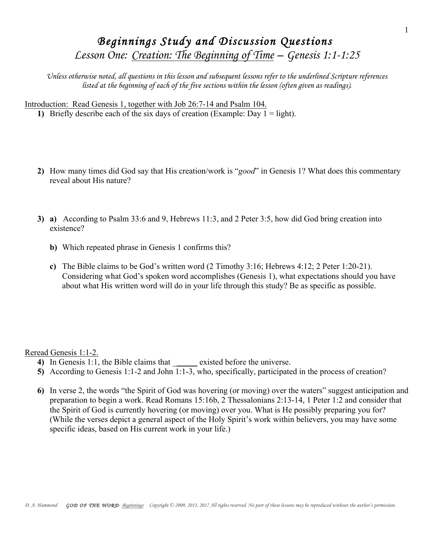## *Beginnings Study and Discussion Questions Lesson One: Creation: The Beginning of Time – Genesis 1:1-1:25*

*Unless otherwise noted, all questions in this lesson and subsequent lessons refer to the underlined Scripture references listed at the beginning of each of the five sections within the lesson (often given as readings).* 

Introduction: Read Genesis 1, together with Job 26:7-14 and Psalm 104.

**1)** Briefly describe each of the six days of creation (Example: Day  $1 =$  light).

- **2)** How many times did God say that His creation/work is "*good*" in Genesis 1? What does this commentary reveal about His nature?
- **3) a)** According to Psalm 33:6 and 9, Hebrews 11:3, and 2 Peter 3:5, how did God bring creation into existence?
	- **b)** Which repeated phrase in Genesis 1 confirms this?
	- **c)** The Bible claims to be God's written word (2 Timothy 3:16; Hebrews 4:12; 2 Peter 1:20-21). Considering what God's spoken word accomplishes (Genesis 1), what expectations should you have about what His written word will do in your life through this study? Be as specific as possible.

## Reread Genesis 1:1-2.

- **4)** In Genesis 1:1, the Bible claims that \_\_\_\_\_\_\_ existed before the universe.
- **5)** According to Genesis 1:1-2 and John 1:1-3, who, specifically, participated in the process of creation?
- **6)** In verse 2, the words "the Spirit of God was hovering (or moving) over the waters" suggest anticipation and preparation to begin a work. Read Romans 15:16b, 2 Thessalonians 2:13-14, 1 Peter 1:2 and consider that the Spirit of God is currently hovering (or moving) over you. What is He possibly preparing you for? (While the verses depict a general aspect of the Holy Spirit's work within believers, you may have some specific ideas, based on His current work in your life.)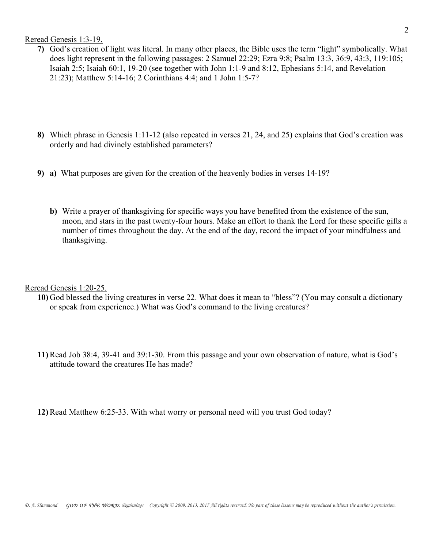Reread Genesis 1:3-19.

- **7)** God's creation of light was literal. In many other places, the Bible uses the term "light" symbolically. What does light represent in the following passages: 2 Samuel 22:29; Ezra 9:8; Psalm 13:3, 36:9, 43:3, 119:105; Isaiah 2:5; Isaiah 60:1, 19-20 (see together with John 1:1-9 and 8:12, Ephesians 5:14, and Revelation 21:23); Matthew 5:14-16; 2 Corinthians 4:4; and 1 John 1:5-7?
- **8)** Which phrase in Genesis 1:11-12 (also repeated in verses 21, 24, and 25) explains that God's creation was orderly and had divinely established parameters?
- **9) a)** What purposes are given for the creation of the heavenly bodies in verses 14-19?
	- **b)** Write a prayer of thanksgiving for specific ways you have benefited from the existence of the sun, moon, and stars in the past twenty-four hours. Make an effort to thank the Lord for these specific gifts a number of times throughout the day. At the end of the day, record the impact of your mindfulness and thanksgiving.

Reread Genesis 1:20-25.

- **10)** God blessed the living creatures in verse 22. What does it mean to "bless"? (You may consult a dictionary or speak from experience.) What was God's command to the living creatures?
- **11)** Read Job 38:4, 39-41 and 39:1-30. From this passage and your own observation of nature, what is God's attitude toward the creatures He has made?

**12)** Read Matthew 6:25-33. With what worry or personal need will you trust God today?